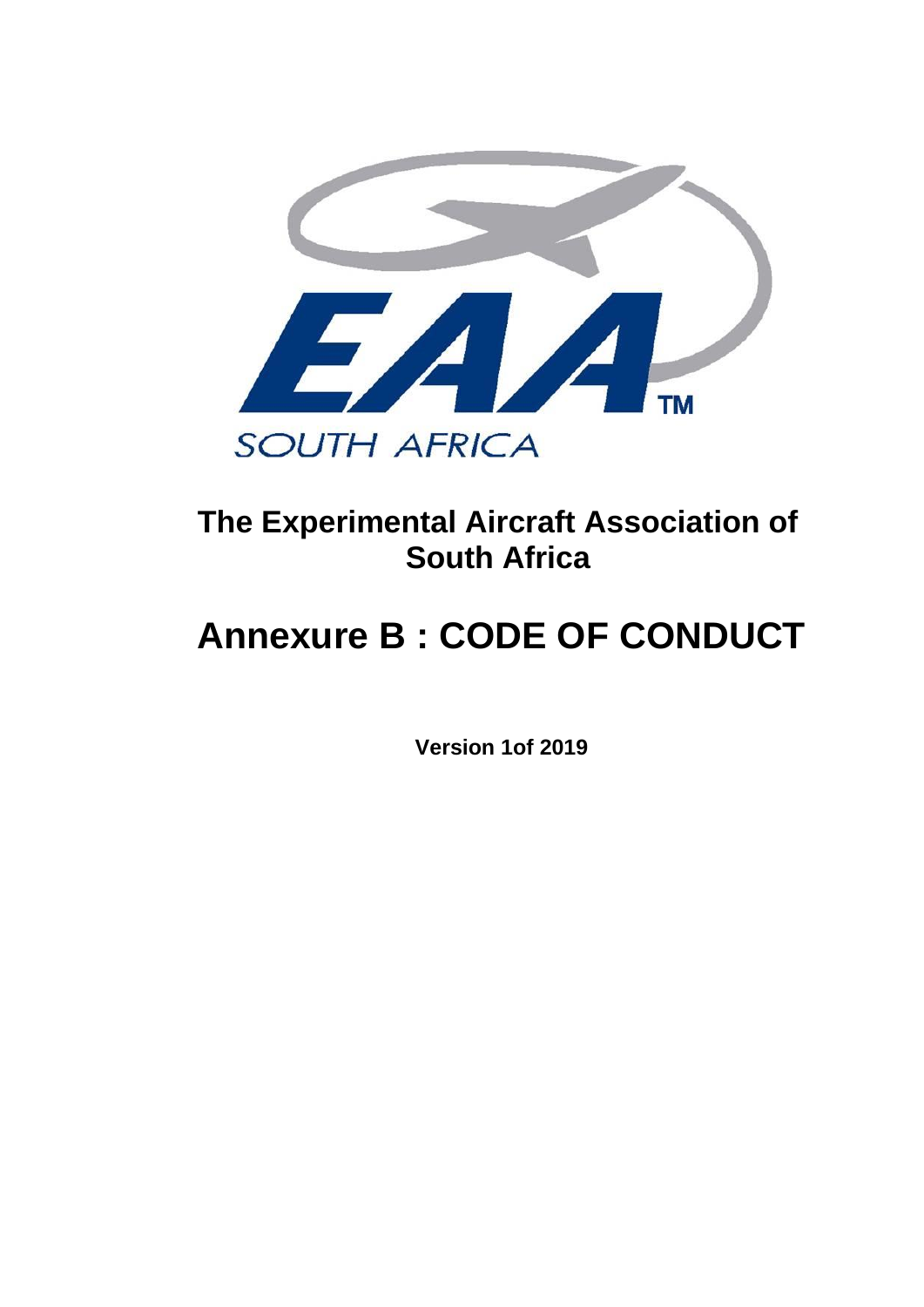

## **The Experimental Aircraft Association of South Africa**

# **Annexure B : CODE OF CONDUCT**

**Version 1of 2019**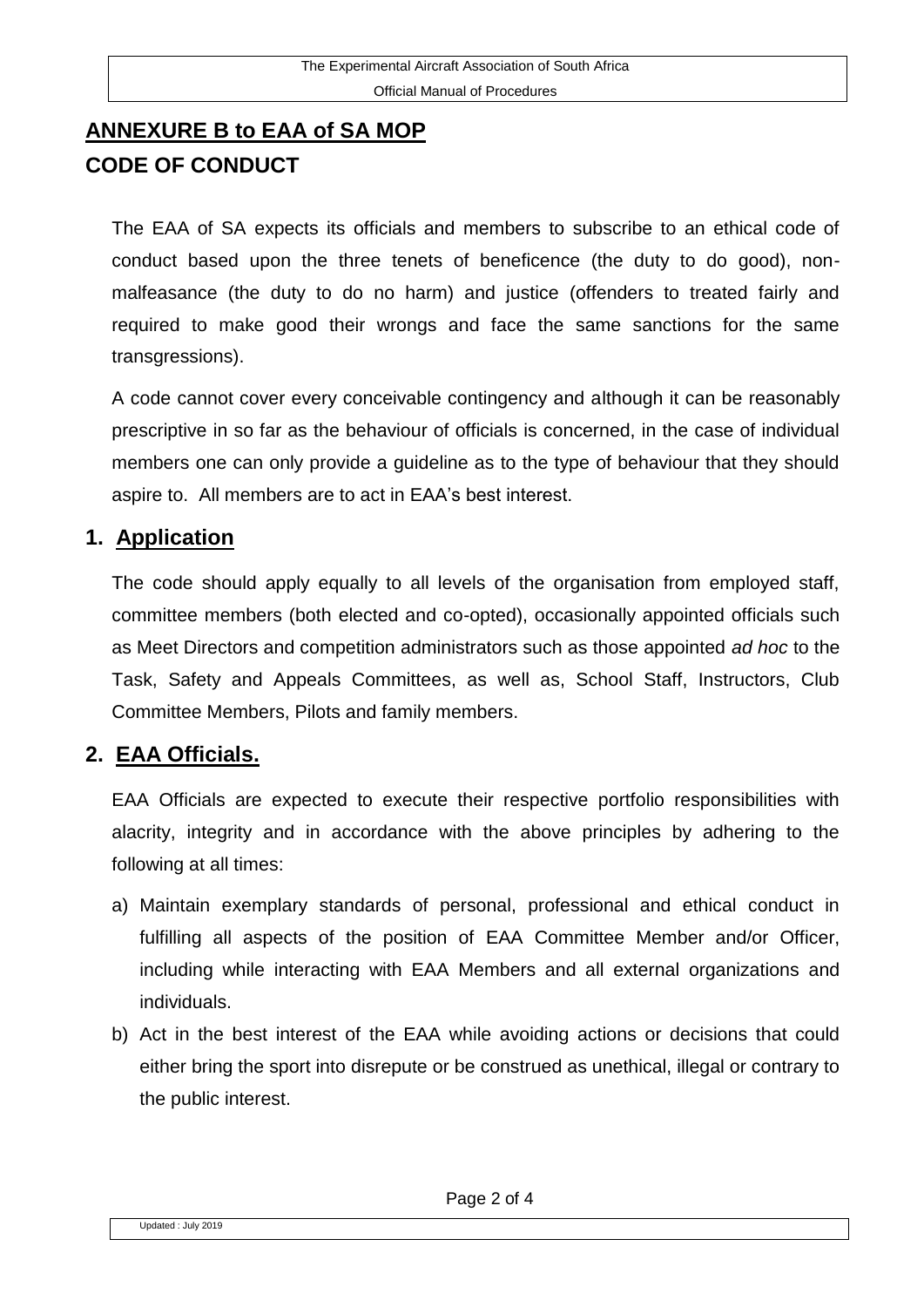### **ANNEXURE B to EAA of SA MOP CODE OF CONDUCT**

The EAA of SA expects its officials and members to subscribe to an ethical code of conduct based upon the three tenets of beneficence (the duty to do good), nonmalfeasance (the duty to do no harm) and justice (offenders to treated fairly and required to make good their wrongs and face the same sanctions for the same transgressions).

A code cannot cover every conceivable contingency and although it can be reasonably prescriptive in so far as the behaviour of officials is concerned, in the case of individual members one can only provide a guideline as to the type of behaviour that they should aspire to. All members are to act in EAA's best interest.

#### **1. Application**

The code should apply equally to all levels of the organisation from employed staff, committee members (both elected and co-opted), occasionally appointed officials such as Meet Directors and competition administrators such as those appointed *ad hoc* to the Task, Safety and Appeals Committees, as well as, School Staff, Instructors, Club Committee Members, Pilots and family members.

#### **2. EAA Officials.**

EAA Officials are expected to execute their respective portfolio responsibilities with alacrity, integrity and in accordance with the above principles by adhering to the following at all times:

- a) Maintain exemplary standards of personal, professional and ethical conduct in fulfilling all aspects of the position of EAA Committee Member and/or Officer, including while interacting with EAA Members and all external organizations and individuals.
- b) Act in the best interest of the EAA while avoiding actions or decisions that could either bring the sport into disrepute or be construed as unethical, illegal or contrary to the public interest.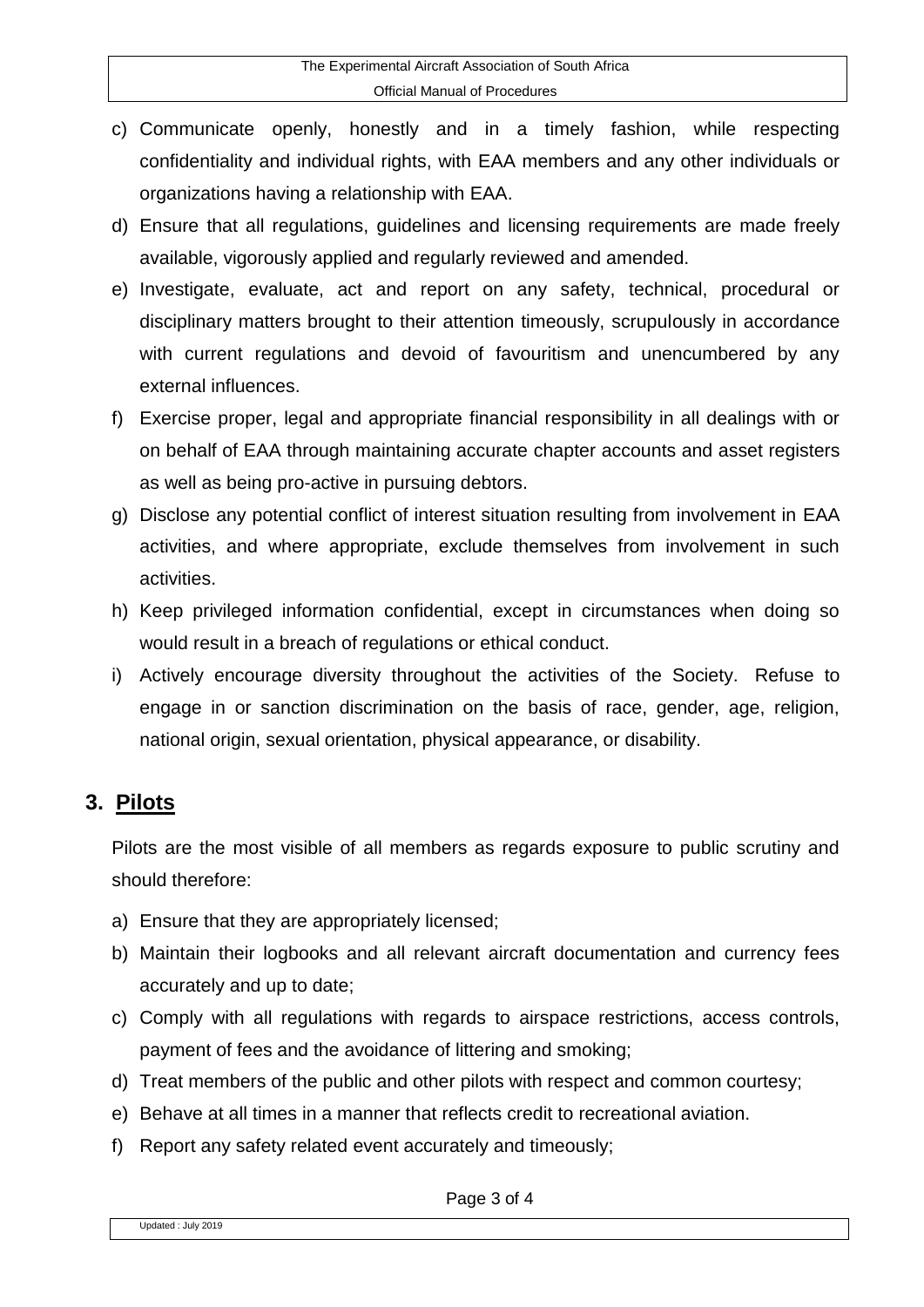- c) Communicate openly, honestly and in a timely fashion, while respecting confidentiality and individual rights, with EAA members and any other individuals or organizations having a relationship with EAA.
- d) Ensure that all regulations, guidelines and licensing requirements are made freely available, vigorously applied and regularly reviewed and amended.
- e) Investigate, evaluate, act and report on any safety, technical, procedural or disciplinary matters brought to their attention timeously, scrupulously in accordance with current regulations and devoid of favouritism and unencumbered by any external influences.
- f) Exercise proper, legal and appropriate financial responsibility in all dealings with or on behalf of EAA through maintaining accurate chapter accounts and asset registers as well as being pro-active in pursuing debtors.
- g) Disclose any potential conflict of interest situation resulting from involvement in EAA activities, and where appropriate, exclude themselves from involvement in such activities.
- h) Keep privileged information confidential, except in circumstances when doing so would result in a breach of regulations or ethical conduct.
- i) Actively encourage diversity throughout the activities of the Society. Refuse to engage in or sanction discrimination on the basis of race, gender, age, religion, national origin, sexual orientation, physical appearance, or disability.

#### **3. Pilots**

Pilots are the most visible of all members as regards exposure to public scrutiny and should therefore:

- a) Ensure that they are appropriately licensed;
- b) Maintain their logbooks and all relevant aircraft documentation and currency fees accurately and up to date;
- c) Comply with all regulations with regards to airspace restrictions, access controls, payment of fees and the avoidance of littering and smoking;
- d) Treat members of the public and other pilots with respect and common courtesy;
- e) Behave at all times in a manner that reflects credit to recreational aviation.
- f) Report any safety related event accurately and timeously;